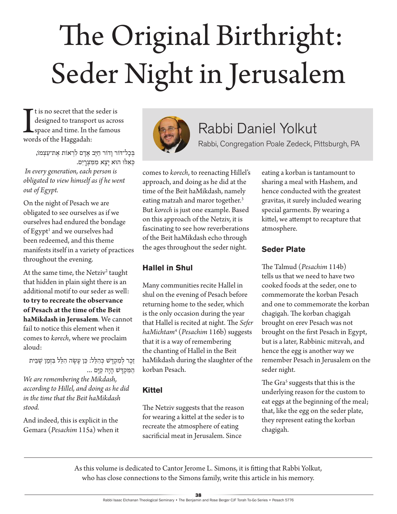# The Original Birthright: Seder Night in Jerusalem

It is no secret that the designed to transpote space and time. In the words of the Haggadah: t is no secret that the seder is designed to transport us across space and time. In the famous

> בְּכָל־דּוֹר וַדוֹר חַיָּב אָדָם לִרְאוֹת אֶת־עַצְמוֹ, כְּאָלוּ הוּא יָצָא מִמְּצְרֵיִם.

 *In every generation, each person is obligated to view himself as if he went out of Egypt.*

On the night of Pesach we are obligated to see ourselves as if we ourselves had endured the bondage of Egypt<sup>1</sup> and we ourselves had been redeemed, and this theme manifests itself in a variety of practices throughout the evening.

At the same time, the Netziv<sup>2</sup> taught that hidden in plain sight there is an additional motif to our seder as well: **to try to recreate the observance of Pesach at the time of the Beit haMikdash in Jerusalem**. We cannot fail to notice this element when it comes to *korech*, where we proclaim aloud:

זֵכֶר לִמִקְדָּשׁ כִּהְלֵל: כֵּן עַשָׂה הִלֵּל בִּזְמַן שֵׁבֵּית הַמְּקְדָּשׁ הָיָה קַיָּם ... *We are remembering the Mikdash, according to Hillel, and doing as he did in the time that the Beit haMikdash stood.* 

And indeed, this is explicit in the Gemara (*Pesachim* 115a) when it



# Rabbi Daniel Yolkut

Rabbi, Congregation Poale Zedeck, Pittsburgh, PA

comes to *korech*, to reenacting Hillel's approach, and doing as he did at the time of the Beit haMikdash, namely eating matzah and maror together.<sup>3</sup> But *korech* is just one example. Based on this approach of the Netziv, it is fascinating to see how reverberations of the Beit haMikdash echo through the ages throughout the seder night.

## **Hallel in Shul**

Many communities recite Hallel in shul on the evening of Pesach before returning home to the seder, which is the only occasion during the year that Hallel is recited at night. The *Sefer haMichtam*<sup>4</sup> (*Pesachim* 116b) suggests that it is a way of remembering the chanting of Hallel in the Beit haMikdash during the slaughter of the korban Pesach.

## **Kittel**

The Netziv suggests that the reason for wearing a kittel at the seder is to recreate the atmosphere of eating sacrificial meat in Jerusalem. Since

eating a korban is tantamount to sharing a meal with Hashem, and hence conducted with the greatest gravitas, it surely included wearing special garments. By wearing a kittel, we attempt to recapture that atmosphere.

# **Seder Plate**

The Talmud (*Pesachim* 114b) tells us that we need to have two cooked foods at the seder, one to commemorate the korban Pesach and one to commemorate the korban chagigah. The korban chagigah brought on erev Pesach was not brought on the first Pesach in Egypt, but is a later, Rabbinic mitzvah, and hence the egg is another way we remember Pesach in Jerusalem on the seder night.

The Gra<sup>5</sup> suggests that this is the underlying reason for the custom to eat eggs at the beginning of the meal; that, like the egg on the seder plate, they represent eating the korban chagigah.

As this volume is dedicated to Cantor Jerome L. Simons, it is fitting that Rabbi Yolkut, who has close connections to the Simons family, write this article in his memory.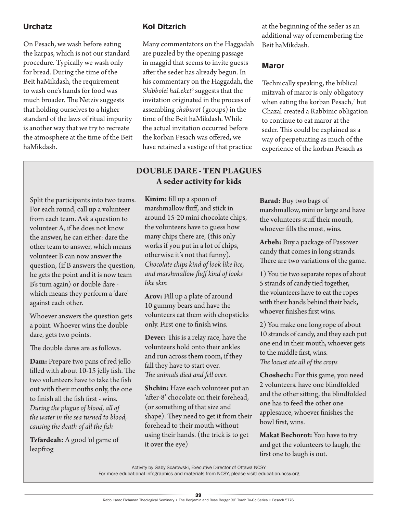#### **Urchatz**

On Pesach, we wash before eating the karpas, which is not our standard procedure. Typically we wash only for bread. During the time of the Beit haMikdash, the requirement to wash one's hands for food was much broader. The Netziv suggests that holding ourselves to a higher standard of the laws of ritual impurity is another way that we try to recreate the atmosphere at the time of the Beit haMikdash.

#### Split the participants into two teams. For each round, call up a volunteer from each team. Ask a question to volunteer A, if he does not know the answer, he can either: dare the other team to answer, which means volunteer B can now answer the question, (if B answers the question, he gets the point and it is now team B's turn again) or double dare which means they perform a 'dare' against each other.

Whoever answers the question gets a point. Whoever wins the double dare, gets two points.

The double dares are as follows.

**Dam:** Prepare two pans of red jello filled with about 10-15 jelly fish. The two volunteers have to take the fish out with their mouths only, the one to finish all the fish first - wins. *During the plague of blood, all of the water in the sea turned to blood, causing the death of all the fish*

**Tzfardeah:** A good 'ol game of leapfrog

#### **Kol Ditzrich**

Many commentators on the Haggadah are puzzled by the opening passage in maggid that seems to invite guests after the seder has already begun. In his commentary on the Haggadah, the Shibbolei haLeket<sup>6</sup> suggests that the invitation originated in the process of assembling *chaburot* (groups) in the time of the Beit haMikdash. While the actual invitation occurred before the korban Pesach was offered, we have retained a vestige of that practice

#### **DOUBLE DARE - TEN PLAGUES A seder activity for kids**

**Kinim:** fill up a spoon of marshmallow fluff, and stick in around 15-20 mini chocolate chips, the volunteers have to guess how many chips there are, (this only works if you put in a lot of chips, otherwise it's not that funny). *Chocolate chips kind of look like lice, and marshmallow fluff kind of looks like skin*

**Arov:** Fill up a plate of around 10 gummy bears and have the volunteers eat them with chopsticks only. First one to finish wins.

**Dever:** This is a relay race, have the volunteers hold onto their ankles and run across them room, if they fall they have to start over. *The animals died and fell over.*

**Shchin:** Have each volunteer put an 'after-8' chocolate on their forehead, (or something of that size and shape). They need to get it from their forehead to their mouth without using their hands. (the trick is to get it over the eye)

at the beginning of the seder as an additional way of remembering the Beit haMikdash.

#### **Maror**

Technically speaking, the biblical mitzvah of maror is only obligatory when eating the korban Pesach,7 but Chazal created a Rabbinic obligation to continue to eat maror at the seder. This could be explained as a way of perpetuating as much of the experience of the korban Pesach as

**Barad:** Buy two bags of marshmallow, mini or large and have the volunteers stuff their mouth, whoever fills the most, wins.

**Arbeh:** Buy a package of Passover candy that comes in long strands. There are two variations of the game.

1) You tie two separate ropes of about 5 strands of candy tied together, the volunteers have to eat the ropes with their hands behind their back, whoever finishes first wins.

2) You make one long rope of about 10 strands of candy, and they each put one end in their mouth, whoever gets to the middle first, wins. *The locust ate all of the crops*

**Choshech:** For this game, you need 2 volunteers. have one blindfolded and the other sitting, the blindfolded one has to feed the other one applesauce, whoever finishes the bowl first, wins.

**Makat Bechorot:** You have to try and get the volunteers to laugh, the first one to laugh is out.

Activity by Gaby Scarowski, Executive Director of Ottawa NCSY For more educational infographics and materials from NCSY, please visit: education.ncsy.org

39